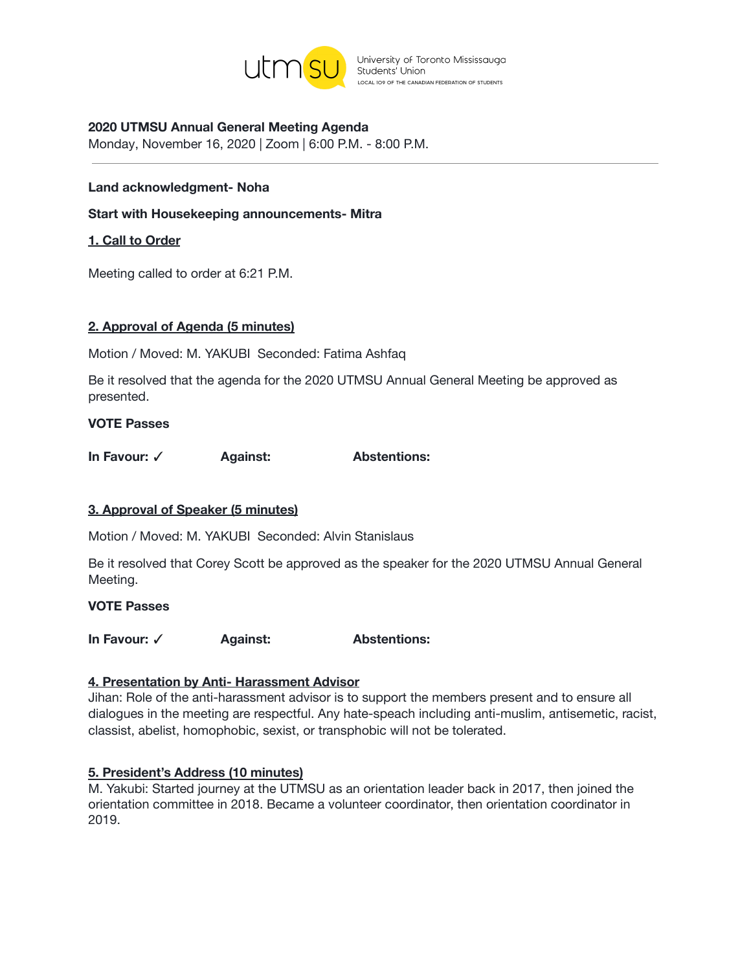

# **2020 UTMSU Annual General Meeting Agenda**

Monday, November 16, 2020 | Zoom | 6:00 P.M. - 8:00 P.M.

#### **Land acknowledgment- Noha**

**Start with Housekeeping announcements- Mitra**

#### **1. Call to Order**

Meeting called to order at 6:21 P.M.

#### **2. Approval of Agenda (5 minutes)**

Motion / Moved: M. YAKUBI Seconded: Fatima Ashfaq

Be it resolved that the agenda for the 2020 UTMSU Annual General Meeting be approved as presented.

#### **VOTE Passes**

**In Favour:** ✓ **Against: Abstentions:**

### **3. Approval of Speaker (5 minutes)**

Motion / Moved: M. YAKUBI Seconded: Alvin Stanislaus

Be it resolved that Corey Scott be approved as the speaker for the 2020 UTMSU Annual General Meeting.

#### **VOTE Passes**

**In Favour:** ✓ **Against: Abstentions:**

### **4. Presentation by Anti- Harassment Advisor**

Jihan: Role of the anti-harassment advisor is to support the members present and to ensure all dialogues in the meeting are respectful. Any hate-speach including anti-muslim, antisemetic, racist, classist, abelist, homophobic, sexist, or transphobic will not be tolerated.

### **5. President's Address (10 minutes)**

M. Yakubi: Started journey at the UTMSU as an orientation leader back in 2017, then joined the orientation committee in 2018. Became a volunteer coordinator, then orientation coordinator in 2019.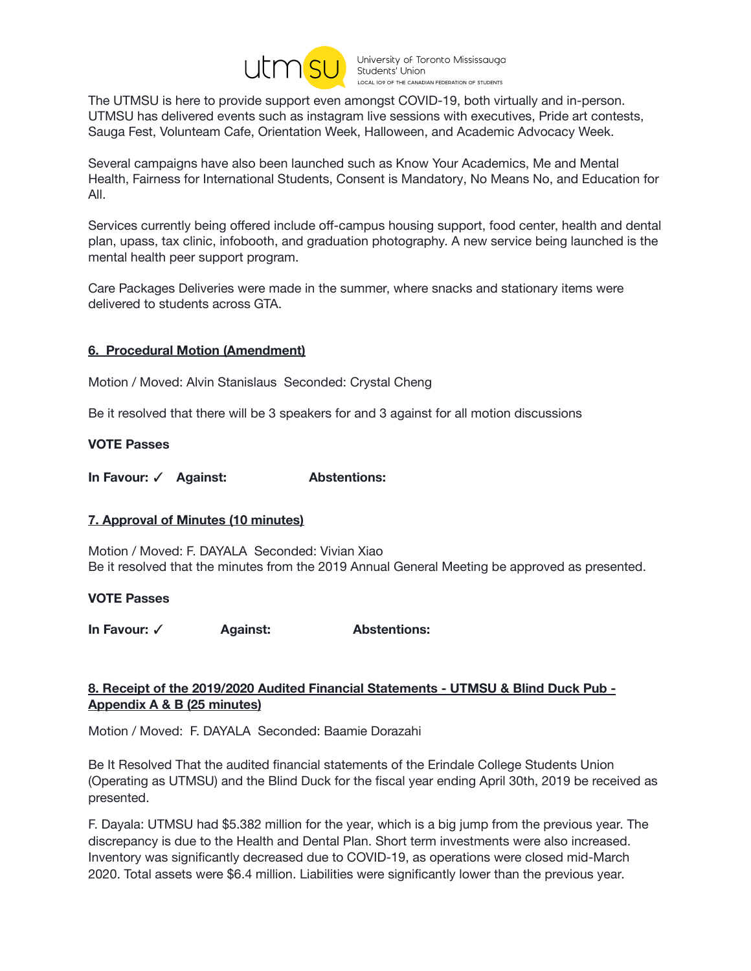

The UTMSU is here to provide support even amongst COVID-19, both virtually and in-person. UTMSU has delivered events such as instagram live sessions with executives, Pride art contests, Sauga Fest, Volunteam Cafe, Orientation Week, Halloween, and Academic Advocacy Week.

Several campaigns have also been launched such as Know Your Academics, Me and Mental Health, Fairness for International Students, Consent is Mandatory, No Means No, and Education for All.

Services currently being offered include off-campus housing support, food center, health and dental plan, upass, tax clinic, infobooth, and graduation photography. A new service being launched is the mental health peer support program.

Care Packages Deliveries were made in the summer, where snacks and stationary items were delivered to students across GTA.

# **6. Procedural Motion (Amendment)**

Motion / Moved: Alvin Stanislaus Seconded: Crystal Cheng

Be it resolved that there will be 3 speakers for and 3 against for all motion discussions

### **VOTE Passes**

**In Favour:** ✓ **Against: Abstentions:**

### **7. Approval of Minutes (10 minutes)**

Motion / Moved: F. DAYALA Seconded: Vivian Xiao Be it resolved that the minutes from the 2019 Annual General Meeting be approved as presented.

#### **VOTE Passes**

**In Favour:** ✓ **Against: Abstentions:**

# **8. Receipt of the 2019/2020 Audited Financial Statements - UTMSU & Blind Duck Pub - Appendix A & B (25 minutes)**

Motion / Moved: F. DAYALA Seconded: Baamie Dorazahi

Be It Resolved That the audited financial statements of the Erindale College Students Union (Operating as UTMSU) and the Blind Duck for the fiscal year ending April 30th, 2019 be received as presented.

F. Dayala: UTMSU had \$5.382 million for the year, which is a big jump from the previous year. The discrepancy is due to the Health and Dental Plan. Short term investments were also increased. Inventory was significantly decreased due to COVID-19, as operations were closed mid-March 2020. Total assets were \$6.4 million. Liabilities were significantly lower than the previous year.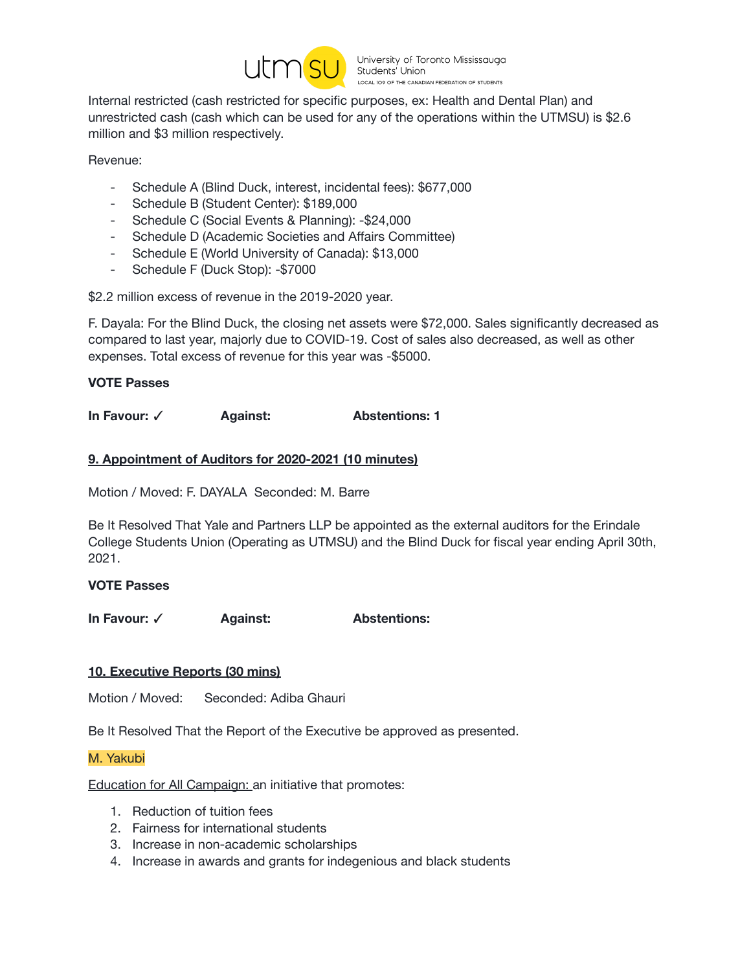

Internal restricted (cash restricted for specific purposes, ex: Health and Dental Plan) and unrestricted cash (cash which can be used for any of the operations within the UTMSU) is \$2.6 million and \$3 million respectively.

Revenue:

- Schedule A (Blind Duck, interest, incidental fees): \$677,000
- Schedule B (Student Center): \$189,000
- Schedule C (Social Events & Planning): -\$24,000
- Schedule D (Academic Societies and Affairs Committee)
- Schedule E (World University of Canada): \$13,000
- Schedule F (Duck Stop): -\$7000

\$2.2 million excess of revenue in the 2019-2020 year.

F. Dayala: For the Blind Duck, the closing net assets were \$72,000. Sales significantly decreased as compared to last year, majorly due to COVID-19. Cost of sales also decreased, as well as other expenses. Total excess of revenue for this year was -\$5000.

**VOTE Passes**

**In Favour:** ✓ **Against: Abstentions: 1**

# **9. Appointment of Auditors for 2020-2021 (10 minutes)**

Motion / Moved: F. DAYALA Seconded: M. Barre

Be It Resolved That Yale and Partners LLP be appointed as the external auditors for the Erindale College Students Union (Operating as UTMSU) and the Blind Duck for fiscal year ending April 30th, 2021.

### **VOTE Passes**

**In Favour:** ✓ **Against: Abstentions:**

### **10. Executive Reports (30 mins)**

Motion / Moved: Seconded: Adiba Ghauri

Be It Resolved That the Report of the Executive be approved as presented.

M. Yakubi

Education for All Campaign: an initiative that promotes:

- 1. Reduction of tuition fees
- 2. Fairness for international students
- 3. Increase in non-academic scholarships
- 4. Increase in awards and grants for indegenious and black students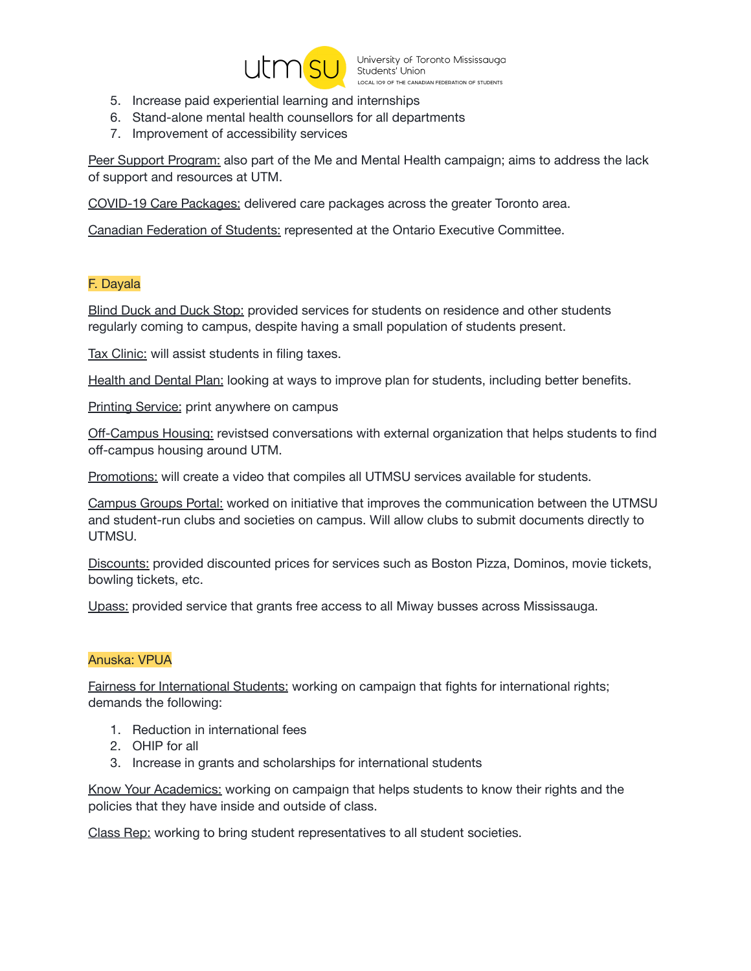

- 5. Increase paid experiential learning and internships
- 6. Stand-alone mental health counsellors for all departments
- 7. Improvement of accessibility services

Peer Support Program: also part of the Me and Mental Health campaign; aims to address the lack of support and resources at UTM.

COVID-19 Care Packages: delivered care packages across the greater Toronto area.

Canadian Federation of Students: represented at the Ontario Executive Committee.

# F. Dayala

Blind Duck and Duck Stop: provided services for students on residence and other students regularly coming to campus, despite having a small population of students present.

Tax Clinic: will assist students in filing taxes.

Health and Dental Plan: looking at ways to improve plan for students, including better benefits.

Printing Service: print anywhere on campus

Off-Campus Housing: revistsed conversations with external organization that helps students to find off-campus housing around UTM.

Promotions: will create a video that compiles all UTMSU services available for students.

Campus Groups Portal: worked on initiative that improves the communication between the UTMSU and student-run clubs and societies on campus. Will allow clubs to submit documents directly to UTMSU.

Discounts: provided discounted prices for services such as Boston Pizza, Dominos, movie tickets, bowling tickets, etc.

Upass: provided service that grants free access to all Miway busses across Mississauga.

### Anuska: VPUA

Fairness for International Students: working on campaign that fights for international rights; demands the following:

- 1. Reduction in international fees
- 2. OHIP for all
- 3. Increase in grants and scholarships for international students

Know Your Academics: working on campaign that helps students to know their rights and the policies that they have inside and outside of class.

Class Rep: working to bring student representatives to all student societies.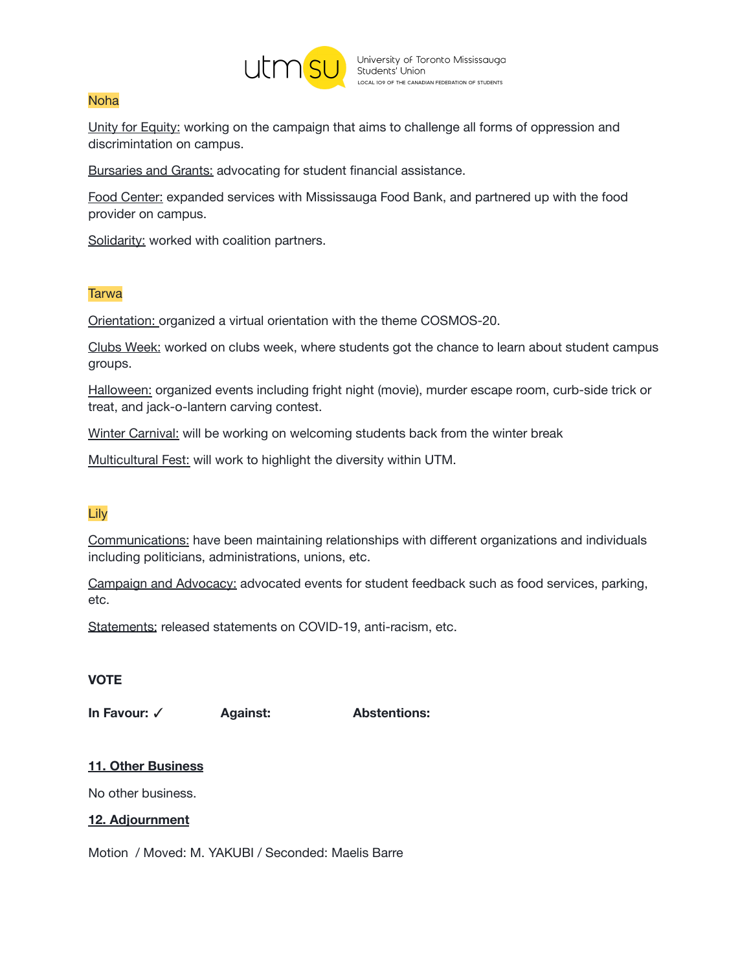

## Noha

Unity for Equity: working on the campaign that aims to challenge all forms of oppression and discrimintation on campus.

Bursaries and Grants: advocating for student financial assistance.

Food Center: expanded services with Mississauga Food Bank, and partnered up with the food provider on campus.

Solidarity: worked with coalition partners.

# **Tarwa**

Orientation: organized a virtual orientation with the theme COSMOS-20.

Clubs Week: worked on clubs week, where students got the chance to learn about student campus groups.

Halloween: organized events including fright night (movie), murder escape room, curb-side trick or treat, and jack-o-lantern carving contest.

Winter Carnival: will be working on welcoming students back from the winter break

Multicultural Fest: will work to highlight the diversity within UTM.

# Lily

Communications: have been maintaining relationships with different organizations and individuals including politicians, administrations, unions, etc.

Campaign and Advocacy: advocated events for student feedback such as food services, parking, etc.

Statements: released statements on COVID-19, anti-racism, etc.

# **VOTE**

**In Favour:** ✓ **Against: Abstentions:**

# **11. Other Business**

No other business.

# **12. Adjournment**

Motion / Moved: M. YAKUBI / Seconded: Maelis Barre